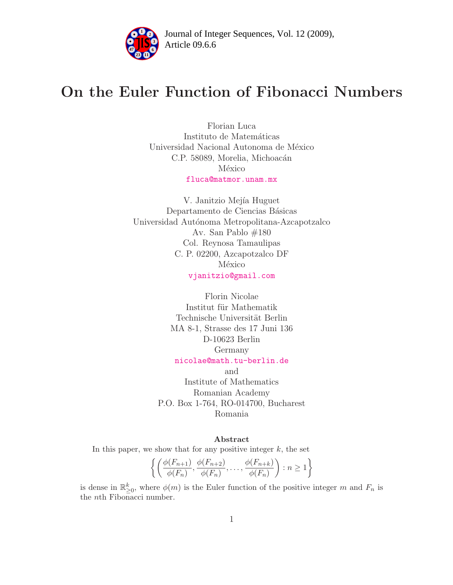

Article 09.6.6 **<sup>2</sup>** Journal of Integer Sequences, Vol. 12 (2009),

# On the Euler Function of Fibonacci Numbers

Florian Luca Instituto de Matemáticas Universidad Nacional Autonoma de México C.P. 58089, Morelia, Michoacán México [fluca@matmor.unam.mx](mailto:fluca@matmor.unam.mx)

V. Janitzio Mejía Huguet Departamento de Ciencias Básicas Universidad Autónoma Metropolitana-Azcapotzalco Av. San Pablo #180 Col. Reynosa Tamaulipas C. P. 02200, Azcapotzalco DF México [vjanitzio@gmail.com](mailto:vjanitzio@gmail.com)

> Florin Nicolae Institut für Mathematik Technische Universität Berlin MA 8-1, Strasse des 17 Juni 136 D-10623 Berlin Germany [nicolae@math.tu-berlin.de](mailto:nicolae@math.tu-berlin.de)

and Institute of Mathematics Romanian Academy P.O. Box 1-764, RO-014700, Bucharest Romania

### Abstract

In this paper, we show that for any positive integer  $k$ , the set

$$
\left\{ \left( \frac{\phi(F_{n+1})}{\phi(F_n)}, \frac{\phi(F_{n+2})}{\phi(F_n)}, \dots, \frac{\phi(F_{n+k})}{\phi(F_n)} \right) : n \ge 1 \right\}
$$

is dense in  $\mathbb{R}^k_{\geq 0}$ , where  $\phi(m)$  is the Euler function of the positive integer m and  $F_n$  is the nth Fibonacci number.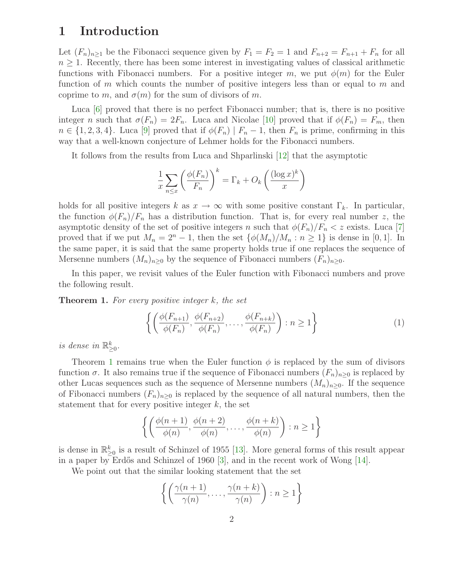## 1 Introduction

Let  $(F_n)_{n\geq 1}$  be the Fibonacci sequence given by  $F_1 = F_2 = 1$  and  $F_{n+2} = F_{n+1} + F_n$  for all  $n \geq 1$ . Recently, there has been some interest in investigating values of classical arithmetic functions with Fibonacci numbers. For a positive integer m, we put  $\phi(m)$  for the Euler function of m which counts the number of positive integers less than or equal to m and coprime to m, and  $\sigma(m)$  for the sum of divisors of m.

Luca [\[6\]](#page-13-0) proved that there is no perfect Fibonacci number; that is, there is no positive integer n such that  $\sigma(F_n) = 2F_n$ . Luca and Nicolae [\[10\]](#page-13-1) proved that if  $\phi(F_n) = F_m$ , then  $n \in \{1, 2, 3, 4\}$ . Luca [\[9\]](#page-13-2) proved that if  $\phi(F_n) \mid F_n - 1$ , then  $F_n$  is prime, confirming in this way that a well-known conjecture of Lehmer holds for the Fibonacci numbers.

It follows from the results from Luca and Shparlinski [\[12\]](#page-13-3) that the asymptotic

$$
\frac{1}{x} \sum_{n \le x} \left( \frac{\phi(F_n)}{F_n} \right)^k = \Gamma_k + O_k \left( \frac{(\log x)^k}{x} \right)
$$

holds for all positive integers k as  $x \to \infty$  with some positive constant  $\Gamma_k$ . In particular, the function  $\phi(F_n)/F_n$  has a distribution function. That is, for every real number z, the asymptotic density of the set of positive integers n such that  $\phi(F_n)/F_n < z$  exists. Luca [\[7\]](#page-13-4) proved that if we put  $M_n = 2^n - 1$ , then the set  $\{\phi(M_n)/M_n : n \geq 1\}$  is dense in [0, 1]. In the same paper, it is said that the same property holds true if one replaces the sequence of Mersenne numbers  $(M_n)_{n>0}$  by the sequence of Fibonacci numbers  $(F_n)_{n>0}$ .

<span id="page-1-0"></span>In this paper, we revisit values of the Euler function with Fibonacci numbers and prove the following result.

**Theorem 1.** For every positive integer  $k$ , the set

$$
\left\{ \left( \frac{\phi(F_{n+1})}{\phi(F_n)}, \frac{\phi(F_{n+2})}{\phi(F_n)}, \dots, \frac{\phi(F_{n+k})}{\phi(F_n)} \right) : n \ge 1 \right\}
$$
 (1)

is dense in  $\mathbb{R}^k_{\geq 0}$ .

Theorem [1](#page-1-0) remains true when the Euler function  $\phi$  is replaced by the sum of divisors function  $\sigma$ . It also remains true if the sequence of Fibonacci numbers  $(F_n)_{n>0}$  is replaced by other Lucas sequences such as the sequence of Mersenne numbers  $(M_n)_{n\geq 0}$ . If the sequence of Fibonacci numbers  $(F_n)_{n>0}$  is replaced by the sequence of all natural numbers, then the statement that for every positive integer  $k$ , the set

$$
\left\{ \left( \frac{\phi(n+1)}{\phi(n)}, \frac{\phi(n+2)}{\phi(n)}, \dots, \frac{\phi(n+k)}{\phi(n)} \right) : n \ge 1 \right\}
$$

is dense in  $\mathbb{R}^k_{\geq 0}$  is a result of Schinzel of 1955 [\[13\]](#page-13-5). More general forms of this result appear in a paper by Erdős and Schinzel of 1960 [\[3\]](#page-13-6), and in the recent work of Wong  $[14]$ .

We point out that the similar looking statement that the set

$$
\left\{ \left( \frac{\gamma(n+1)}{\gamma(n)}, \ldots, \frac{\gamma(n+k)}{\gamma(n)} \right) : n \ge 1 \right\}
$$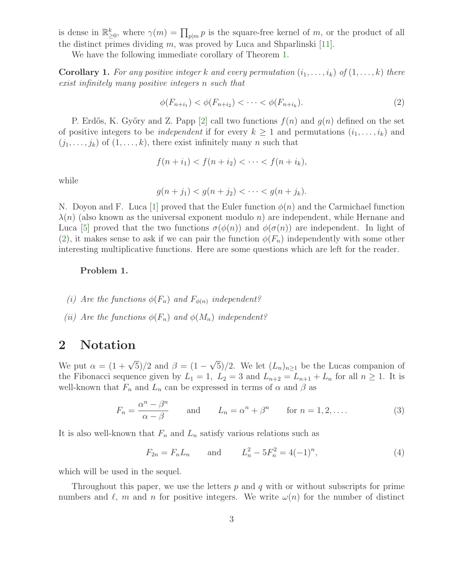is dense in  $\mathbb{R}^k_{\geq 0}$ , where  $\gamma(m) = \prod_{p|m} p$  is the square-free kernel of m, or the product of all the distinct primes dividing  $m$ , was proved by Luca and Shparlinski [\[11\]](#page-13-8).

We have the following immediate corollary of Theorem [1.](#page-1-0)

**Corollary 1.** For any positive integer k and every permutation  $(i_1, \ldots, i_k)$  of  $(1, \ldots, k)$  there exist infinitely many positive integers n such that

<span id="page-2-0"></span>
$$
\phi(F_{n+i_1}) < \phi(F_{n+i_2}) < \cdots < \phi(F_{n+i_k}).\tag{2}
$$

P. Erdős, K. Győry and Z. Papp [\[2\]](#page-13-9) call two functions  $f(n)$  and  $g(n)$  defined on the set of positive integers to be *independent* if for every  $k \geq 1$  and permutations  $(i_1, \ldots, i_k)$  and  $(j_1, \ldots, j_k)$  of  $(1, \ldots, k)$ , there exist infinitely many n such that

$$
f(n + i_1) < f(n + i_2) < \cdots < f(n + i_k),
$$

while

$$
g(n+j_1) < g(n+j_2) < \cdots < g(n+j_k).
$$

N. Doyon and F. Luca [\[1\]](#page-13-10) proved that the Euler function  $\phi(n)$  and the Carmichael function  $\lambda(n)$  (also known as the universal exponent modulo n) are independent, while Hernane and Luca [\[5\]](#page-13-11) proved that the two functions  $\sigma(\phi(n))$  and  $\phi(\sigma(n))$  are independent. In light of [\(2\)](#page-2-0), it makes sense to ask if we can pair the function  $\phi(F_n)$  independently with some other interesting multiplicative functions. Here are some questions which are left for the reader.

### Problem 1.

- (i) Are the functions  $\phi(F_n)$  and  $F_{\phi(n)}$  independent?
- (ii) Are the functions  $\phi(F_n)$  and  $\phi(M_n)$  independent?

### 2 Notation

We put  $\alpha = (1 + \sqrt{5})/2$  and  $\beta = (1 - \sqrt{5})/2$ . We let  $(L_n)_{n \geq 1}$  be the Lucas companion of the Fibonacci sequence given by  $L_1 = 1$ ,  $L_2 = 3$  and  $L_{n+2} = L_{n+1} + L_n$  for all  $n \ge 1$ . It is well-known that  $F_n$  and  $L_n$  can be expressed in terms of  $\alpha$  and  $\beta$  as

$$
F_n = \frac{\alpha^n - \beta^n}{\alpha - \beta} \quad \text{and} \quad L_n = \alpha^n + \beta^n \quad \text{for } n = 1, 2, \dots \tag{3}
$$

It is also well-known that  $F_n$  and  $L_n$  satisfy various relations such as

<span id="page-2-1"></span>
$$
F_{2n} = F_n L_n \qquad \text{and} \qquad L_n^2 - 5F_n^2 = 4(-1)^n,
$$
 (4)

which will be used in the sequel.

Throughout this paper, we use the letters  $p$  and  $q$  with or without subscripts for prime numbers and  $\ell$ , m and n for positive integers. We write  $\omega(n)$  for the number of distinct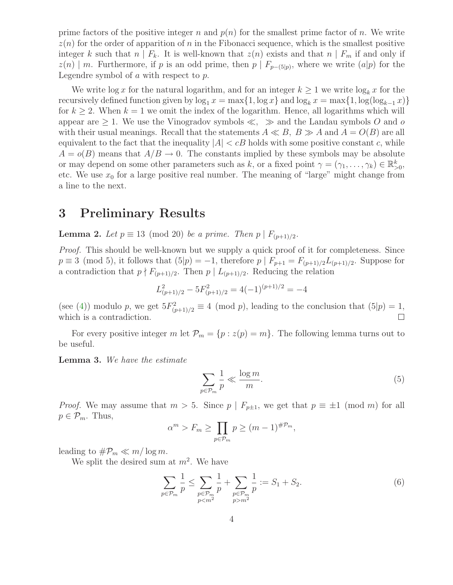prime factors of the positive integer n and  $p(n)$  for the smallest prime factor of n. We write  $z(n)$  for the order of apparition of n in the Fibonacci sequence, which is the smallest positive integer k such that  $n \mid F_k$ . It is well-known that  $z(n)$  exists and that  $n \mid F_m$  if and only if  $z(n) \mid m$ . Furthermore, if p is an odd prime, then  $p \mid F_{p-(5|p)}$ , where we write  $(a|p)$  for the Legendre symbol of  $a$  with respect to  $p$ .

We write  $\log x$  for the natural logarithm, and for an integer  $k \geq 1$  we write  $\log_k x$  for the recursively defined function given by  $\log_1 x = \max\{1, \log x\}$  and  $\log_k x = \max\{1, \log(\log_{k-1} x)\}\$ for  $k \geq 2$ . When  $k = 1$  we omit the index of the logarithm. Hence, all logarithms which will appear are  $\geq 1$ . We use the Vinogradov symbols  $\ll$ ,  $\gg$  and the Landau symbols O and o with their usual meanings. Recall that the statements  $A \ll B$ ,  $B \gg A$  and  $A = O(B)$  are all equivalent to the fact that the inequality  $|A| < cB$  holds with some positive constant c, while  $A = o(B)$  means that  $A/B \to 0$ . The constants implied by these symbols may be absolute or may depend on some other parameters such as k, or a fixed point  $\gamma = (\gamma_1, \dots, \gamma_k) \in \mathbb{R}^k_{>0}$ , etc. We use  $x_0$  for a large positive real number. The meaning of "large" might change from a line to the next.

## 3 Preliminary Results

<span id="page-3-1"></span>**Lemma 2.** Let  $p \equiv 13 \pmod{20}$  be a prime. Then  $p \mid F_{(p+1)/2}$ .

*Proof.* This should be well-known but we supply a quick proof of it for completeness. Since  $p \equiv 3 \pmod{5}$ , it follows that  $(5|p) = -1$ , therefore  $p | F_{p+1} = F_{(p+1)/2}L_{(p+1)/2}$ . Suppose for a contradiction that  $p \nmid F_{(p+1)/2}$ . Then  $p \mid L_{(p+1)/2}$ . Reducing the relation

$$
L_{(p+1)/2}^2 - 5F_{(p+1)/2}^2 = 4(-1)^{(p+1)/2} = -4
$$

(see [\(4\)](#page-2-1)) modulo p, we get  $5F_{(p+1)/2}^2 \equiv 4 \pmod{p}$ , leading to the conclusion that  $(5|p) = 1$ , which is a contradiction.

<span id="page-3-2"></span>For every positive integer m let  $\mathcal{P}_m = \{p : z(p) = m\}$ . The following lemma turns out to be useful.

Lemma 3. We have the estimate

$$
\sum_{p \in \mathcal{P}_m} \frac{1}{p} \ll \frac{\log m}{m}.\tag{5}
$$

*Proof.* We may assume that  $m > 5$ . Since  $p \mid F_{p\pm 1}$ , we get that  $p \equiv \pm 1 \pmod{m}$  for all  $p \in \mathcal{P}_m$ . Thus,

<span id="page-3-0"></span>
$$
\alpha^m > F_m \ge \prod_{p \in \mathcal{P}_m} p \ge (m-1)^{\# \mathcal{P}_m},
$$

leading to  $\#\mathcal{P}_m \ll m/\log m$ .

We split the desired sum at  $m^2$ . We have

$$
\sum_{p \in \mathcal{P}_m} \frac{1}{p} \le \sum_{\substack{p \in \mathcal{P}_m \\ p < m^2}} \frac{1}{p} + \sum_{\substack{p \in \mathcal{P}_m \\ p > m^2}} \frac{1}{p} := S_1 + S_2. \tag{6}
$$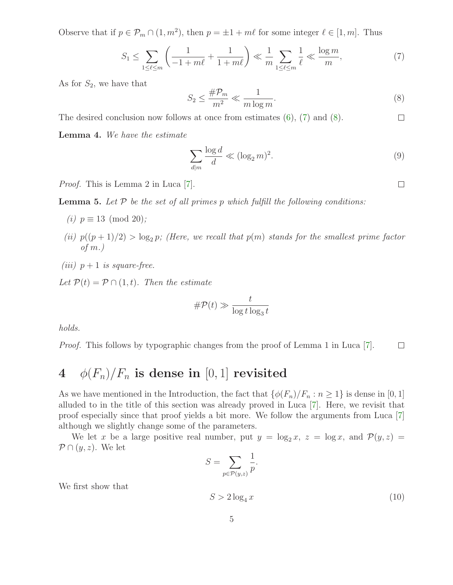Observe that if  $p \in \mathcal{P}_m \cap (1, m^2)$ , then  $p = \pm 1 + m\ell$  for some integer  $\ell \in [1, m]$ . Thus

<span id="page-4-1"></span>
$$
S_1 \le \sum_{1 \le \ell \le m} \left( \frac{1}{-1 + m\ell} + \frac{1}{1 + m\ell} \right) \ll \frac{1}{m} \sum_{1 \le \ell \le m} \frac{1}{\ell} \ll \frac{\log m}{m},\tag{7}
$$

As for  $S_2$ , we have that

<span id="page-4-0"></span>
$$
S_2 \le \frac{\# \mathcal{P}_m}{m^2} \ll \frac{1}{m \log m}.\tag{8}
$$

<span id="page-4-4"></span>The desired conclusion now follows at once from estimates  $(6)$ ,  $(7)$  and  $(8)$ .  $\Box$ 

Lemma 4. We have the estimate

$$
\sum_{d|m} \frac{\log d}{d} \ll (\log_2 m)^2. \tag{9}
$$

<span id="page-4-2"></span>Proof. This is Lemma 2 in Luca [\[7\]](#page-13-4).

**Lemma 5.** Let  $P$  be the set of all primes  $p$  which fulfill the following conditions:

- (*i*)  $p \equiv 13 \pmod{20}$ ;
- (ii)  $p((p+1)/2) > log_2 p$ ; (Here, we recall that  $p(m)$  stands for the smallest prime factor of  $m$ .)
- (iii)  $p+1$  is square-free.

Let  $\mathcal{P}(t) = \mathcal{P} \cap (1,t)$ . Then the estimate

$$
\# \mathcal{P}(t) \gg \frac{t}{\log t \log_3 t}
$$

holds.

Proof. This follows by typographic changes from the proof of Lemma 1 in Luca [\[7\]](#page-13-4).  $\Box$ 

## 4  $\phi(F_n)/F_n$  is dense in [0, 1] revisited

As we have mentioned in the Introduction, the fact that  $\{\phi(F_n)/F_n : n \geq 1\}$  is dense in [0, 1] alluded to in the title of this section was already proved in Luca [\[7\]](#page-13-4). Here, we revisit that proof especially since that proof yields a bit more. We follow the arguments from Luca [\[7\]](#page-13-4) although we slightly change some of the parameters.

We let x be a large positive real number, put  $y = \log_2 x$ ,  $z = \log x$ , and  $\mathcal{P}(y, z) =$  $\mathcal{P} \cap (y,z)$ . We let

$$
S = \sum_{p \in \mathcal{P}(y,z)} \frac{1}{p}.
$$

<span id="page-4-3"></span>We first show that

$$
S > 2\log_4 x \tag{10}
$$

 $\Box$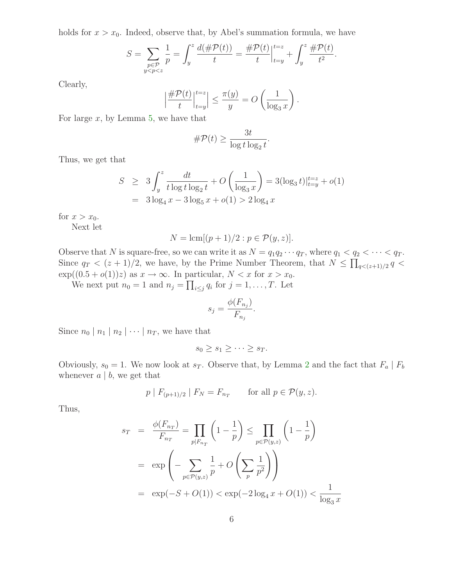holds for  $x > x_0$ . Indeed, observe that, by Abel's summation formula, we have

$$
S = \sum_{\substack{p \in \mathcal{P} \\ y < p < z}} \frac{1}{p} = \int_y^z \frac{d(\#\mathcal{P}(t))}{t} = \frac{\#\mathcal{P}(t)}{t} \Big|_{t=y}^{t=z} + \int_y^z \frac{\#\mathcal{P}(t)}{t^2}.
$$

Clearly,

$$
\left|\frac{\#\mathcal{P}(t)}{t}\Big|_{t=y}^{t=z}\right| \le \frac{\pi(y)}{y} = O\left(\frac{1}{\log_3 x}\right).
$$

For large  $x$ , by Lemma [5,](#page-4-2) we have that

$$
\#\mathcal{P}(t) \ge \frac{3t}{\log t \log_2 t}.
$$

Thus, we get that

$$
S \ge 3 \int_{y}^{z} \frac{dt}{t \log t \log_{2} t} + O\left(\frac{1}{\log_{3} x}\right) = 3(\log_{3} t)|_{t=y}^{t=z} + o(1)
$$
  
=  $3 \log_{4} x - 3 \log_{5} x + o(1) > 2 \log_{4} x$ 

for  $x > x_0$ .

Next let

$$
N = \operatorname{lcm}[(p+1)/2 : p \in \mathcal{P}(y, z)].
$$

Observe that N is square-free, so we can write it as  $N = q_1 q_2 \cdots q_T$ , where  $q_1 < q_2 < \cdots < q_T$ . Since  $q_T < (z+1)/2$ , we have, by the Prime Number Theorem, that  $N \leq \prod_{q < (z+1)/2} q <$  $\exp((0.5 + o(1))z)$  as  $x \to \infty$ . In particular,  $N < x$  for  $x > x_0$ .

We next put  $n_0 = 1$  and  $n_j = \prod_{i \leq j} q_i$  for  $j = 1, \ldots, T$ . Let

$$
s_j = \frac{\phi(F_{n_j})}{F_{n_j}}.
$$

Since  $n_0 | n_1 | n_2 | \cdots | n_T$ , we have that

$$
s_0 \ge s_1 \ge \cdots \ge s_T.
$$

Obviously,  $s_0 = 1$ . We now look at  $s_T$ . Observe that, by Lemma [2](#page-3-1) and the fact that  $F_a | F_b$ whenever  $a \mid b$ , we get that

$$
p \mid F_{(p+1)/2} \mid F_N = F_{n_T} \quad \text{for all } p \in \mathcal{P}(y, z).
$$

Thus,

$$
s_T = \frac{\phi(F_{n_T})}{F_{n_T}} = \prod_{p|F_{n_T}} \left(1 - \frac{1}{p}\right) \le \prod_{p \in \mathcal{P}(y,z)} \left(1 - \frac{1}{p}\right)
$$
  
=  $\exp\left(-\sum_{p \in \mathcal{P}(y,z)} \frac{1}{p} + O\left(\sum_{p} \frac{1}{p^2}\right)\right)$   
=  $\exp(-S + O(1)) < \exp(-2\log_4 x + O(1)) < \frac{1}{\log_3 x}$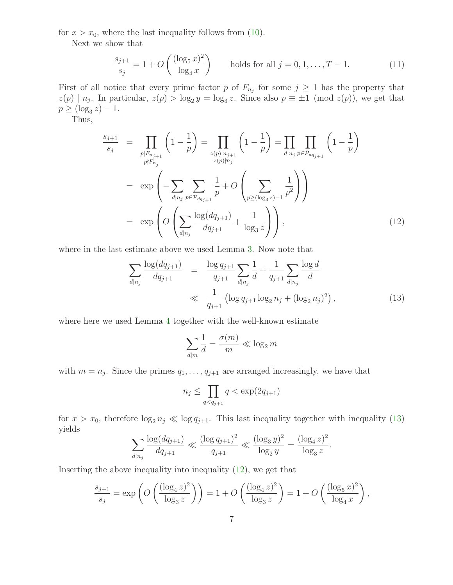for  $x > x_0$ , where the last inequality follows from [\(10\)](#page-4-3).

<span id="page-6-2"></span>Next we show that

$$
\frac{s_{j+1}}{s_j} = 1 + O\left(\frac{(\log_5 x)^2}{\log_4 x}\right) \quad \text{holds for all } j = 0, 1, \dots, T - 1. \tag{11}
$$

First of all notice that every prime factor p of  $F_{n_j}$  for some  $j \geq 1$  has the property that  $z(p) \mid n_j$ . In particular,  $z(p) > \log_2 y = \log_3 z$ . Since also  $p \equiv \pm 1 \pmod{z(p)}$ , we get that  $p \geq (\log_3 z) - 1.$ 

<span id="page-6-1"></span>Thus,

$$
\frac{s_{j+1}}{s_j} = \prod_{\substack{p|F_{n_{j+1}} \\ p\nmid F_{n_j}}} \left(1 - \frac{1}{p}\right) = \prod_{\substack{z(p)|n_{j+1} \\ z(p)|n_j}} \left(1 - \frac{1}{p}\right) = \prod_{d|n_j} \prod_{p \in \mathcal{P}_{dq_{j+1}}} \left(1 - \frac{1}{p}\right)
$$
\n
$$
= \exp\left(-\sum_{d|n_j} \sum_{p \in \mathcal{P}_{dq_{j+1}}} \frac{1}{p} + O\left(\sum_{p \ge (\log_3 z) - 1} \frac{1}{p^2}\right)\right)
$$
\n
$$
= \exp\left(O\left(\sum_{d|n_j} \frac{\log(dq_{j+1})}{dq_{j+1}} + \frac{1}{\log_3 z}\right)\right),\tag{12}
$$

<span id="page-6-0"></span>where in the last estimate above we used Lemma [3.](#page-3-2) Now note that

$$
\sum_{d|n_j} \frac{\log(dq_{j+1})}{dq_{j+1}} = \frac{\log q_{j+1}}{q_{j+1}} \sum_{d|n_j} \frac{1}{d} + \frac{1}{q_{j+1}} \sum_{d|n_j} \frac{\log d}{d}
$$
\n
$$
\ll \frac{1}{q_{j+1}} \left( \log q_{j+1} \log_2 n_j + (\log_2 n_j)^2 \right), \tag{13}
$$

where here we used Lemma [4](#page-4-4) together with the well-known estimate

$$
\sum_{d|m} \frac{1}{d} = \frac{\sigma(m)}{m} \ll \log_2 m
$$

with  $m = n_j$ . Since the primes  $q_1, \ldots, q_{j+1}$  are arranged increasingly, we have that

$$
n_j \le \prod_{q < q_{j+1}} q < \exp(2q_{j+1})
$$

for  $x > x_0$ , therefore  $\log_2 n_j \ll \log q_{j+1}$ . This last inequality together with inequality [\(13\)](#page-6-0) yields

$$
\sum_{d|n_j} \frac{\log(dq_{j+1})}{dq_{j+1}} \ll \frac{(\log q_{j+1})^2}{q_{j+1}} \ll \frac{(\log_3 y)^2}{\log_2 y} = \frac{(\log_4 z)^2}{\log_3 z}.
$$

Inserting the above inequality into inequality  $(12)$ , we get that

$$
\frac{s_{j+1}}{s_j} = \exp\left(O\left(\frac{(\log_4 z)^2}{\log_3 z}\right)\right) = 1 + O\left(\frac{(\log_4 z)^2}{\log_3 z}\right) = 1 + O\left(\frac{(\log_5 x)^2}{\log_4 x}\right),
$$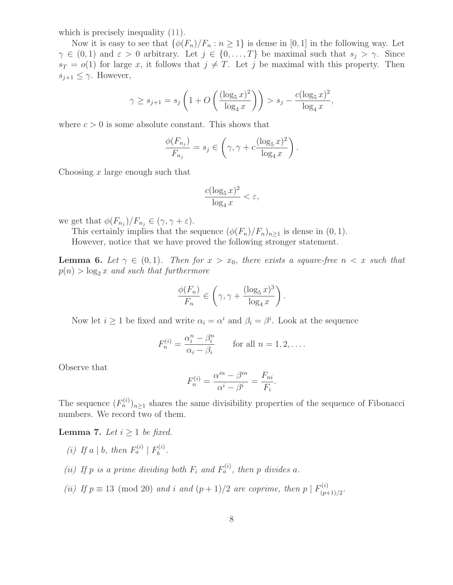which is precisely inequality  $(11)$ .

Now it is easy to see that  $\{\phi(F_n)/F_n : n \geq 1\}$  is dense in [0, 1] in the following way. Let  $\gamma \in (0,1)$  and  $\varepsilon > 0$  arbitrary. Let  $j \in \{0,\ldots,T\}$  be maximal such that  $s_j > \gamma$ . Since  $s_T = o(1)$  for large x, it follows that  $j \neq T$ . Let j be maximal with this property. Then  $s_{j+1} \leq \gamma$ . However,

$$
\gamma \ge s_{j+1} = s_j \left( 1 + O\left( \frac{(\log_5 x)^2}{\log_4 x} \right) \right) > s_j - \frac{c(\log_5 x)^2}{\log_4 x},
$$

where  $c > 0$  is some absolute constant. This shows that

$$
\frac{\phi(F_{n_j})}{F_{n_j}} = s_j \in \left(\gamma, \gamma + c \frac{(\log_5 x)^2}{\log_4 x}\right).
$$

Choosing  $x$  large enough such that

$$
\frac{c(\log_5 x)^2}{\log_4 x} < \varepsilon,
$$

we get that  $\phi(F_{n_j})/F_{n_j} \in (\gamma, \gamma + \varepsilon)$ .

This certainly implies that the sequence  $(\phi(F_n)/F_n)_{n\geq 1}$  is dense in  $(0, 1)$ .

However, notice that we have proved the following stronger statement.

<span id="page-7-0"></span>**Lemma 6.** Let  $\gamma \in (0,1)$ . Then for  $x > x_0$ , there exists a square-free  $n < x$  such that  $p(n) > log_2 x$  and such that furthermore

$$
\frac{\phi(F_n)}{F_n} \in \left(\gamma, \gamma + \frac{(\log_5 x)^3}{\log_4 x}\right).
$$

Now let  $i \geq 1$  be fixed and write  $\alpha_i = \alpha^i$  and  $\beta_i = \beta^i$ . Look at the sequence

$$
F_n^{(i)} = \frac{\alpha_i^n - \beta_i^n}{\alpha_i - \beta_i} \qquad \text{for all } n = 1, 2, \dots.
$$

Observe that

$$
F_n^{(i)} = \frac{\alpha^{in} - \beta^{in}}{\alpha^i - \beta^i} = \frac{F_{ni}}{F_i}.
$$

<span id="page-7-1"></span>The sequence  $(F_n^{(i)})_{n\geq 1}$  shares the same divisibility properties of the sequence of Fibonacci numbers. We record two of them.

**Lemma 7.** Let  $i \geq 1$  be fixed.

- (i) If a | b, then  $F_a^{(i)} \mid F_b^{(i)}$  $b^{(i)}$ .
- (ii) If p is a prime dividing both  $F_i$  and  $F_a^{(i)}$ , then p divides a.
- (ii) If  $p \equiv 13 \pmod{20}$  and i and  $(p+1)/2$  are coprime, then  $p \mid F_{(p+1)/2}^{(i)}$  $\frac{\Gamma(2)}{(p+1)/2}$ .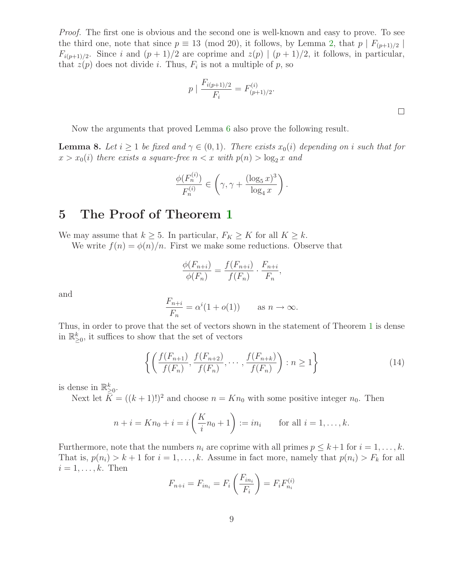Proof. The first one is obvious and the second one is well-known and easy to prove. To see the third one, note that since  $p \equiv 13 \pmod{20}$ , it follows, by Lemma [2,](#page-3-1) that  $p \mid F_{(p+1)/2} \mid$  $F_{i(p+1)/2}$ . Since i and  $(p+1)/2$  are coprime and  $z(p) | (p+1)/2$ , it follows, in particular, that  $z(p)$  does not divide *i*. Thus,  $F_i$  is not a multiple of p, so

$$
p \mid \frac{F_{i(p+1)/2}}{F_i} = F_{(p+1)/2}^{(i)}.
$$

Now the arguments that proved Lemma [6](#page-7-0) also prove the following result.

<span id="page-8-1"></span>**Lemma 8.** Let  $i \geq 1$  be fixed and  $\gamma \in (0,1)$ . There exists  $x_0(i)$  depending on i such that for  $x > x_0(i)$  there exists a square-free  $n < x$  with  $p(n) > \log_2 x$  and

$$
\frac{\phi(F_n^{(i)})}{F_n^{(i)}} \in \left(\gamma, \gamma + \frac{(\log_5 x)^3}{\log_4 x}\right).
$$

## 5 The Proof of Theorem [1](#page-1-0)

We may assume that  $k \geq 5$ . In particular,  $F_K \geq K$  for all  $K \geq k$ .

We write  $f(n) = \phi(n)/n$ . First we make some reductions. Observe that

$$
\frac{\phi(F_{n+i})}{\phi(F_n)} = \frac{f(F_{n+i})}{f(F_n)} \cdot \frac{F_{n+i}}{F_n},
$$

and

<span id="page-8-0"></span>
$$
\frac{F_{n+i}}{F_n} = \alpha^i (1 + o(1)) \quad \text{as } n \to \infty.
$$

Thus, in order to prove that the set of vectors shown in the statement of Theorem [1](#page-1-0) is dense in  $\mathbb{R}^k_{\geq 0}$ , it suffices to show that the set of vectors

$$
\left\{ \left( \frac{f(F_{n+1})}{f(F_n)}, \frac{f(F_{n+2})}{f(F_n)}, \cdots, \frac{f(F_{n+k})}{f(F_n)} \right) : n \ge 1 \right\}
$$
 (14)

is dense in  $\mathbb{R}^k_{\geq 0}$ .

Next let  $K = ((k+1)!)^2$  and choose  $n = Kn_0$  with some positive integer  $n_0$ . Then

$$
n + i = Kn_0 + i = i\left(\frac{K}{i}n_0 + 1\right) := in_i
$$
 for all  $i = 1, ..., k$ .

Furthermore, note that the numbers  $n_i$  are coprime with all primes  $p \leq k+1$  for  $i = 1, \ldots, k$ . That is,  $p(n_i) > k+1$  for  $i = 1, ..., k$ . Assume in fact more, namely that  $p(n_i) > F_k$  for all  $i = 1, \ldots, k$ . Then

$$
F_{n+i} = F_{in_i} = F_i \left( \frac{F_{in_i}}{F_i} \right) = F_i F_{n_i}^{(i)}
$$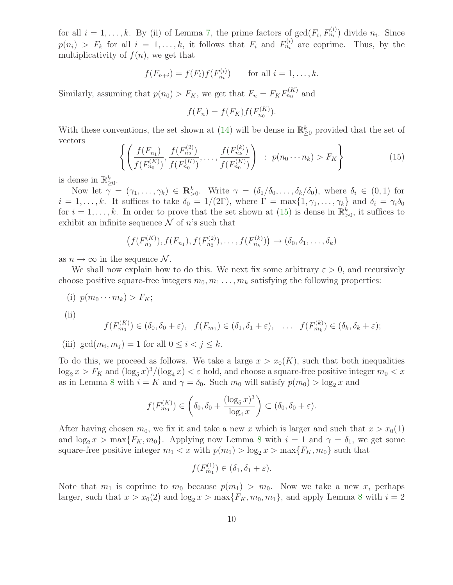for all  $i = 1, \ldots, k$ . By (ii) of Lemma [7,](#page-7-1) the prime factors of  $gcd(F_i, F_{n_i}^{(i)})$  divide  $n_i$ . Since  $p(n_i) > F_k$  for all  $i = 1, ..., k$ , it follows that  $F_i$  and  $F_{n_i}^{(i)}$  are coprime. Thus, by the multiplicativity of  $f(n)$ , we get that

$$
f(F_{n+i}) = f(F_i)f(F_{n_i}^{(i)})
$$
 for all  $i = 1, ..., k$ .

Similarly, assuming that  $p(n_0) > F_K$ , we get that  $F_n = F_K F_{n_0}^{(K)}$  and

$$
f(F_n) = f(F_K) f(F_{n_0}^{(K)}).
$$

<span id="page-9-0"></span>With these conventions, the set shown at  $(14)$  will be dense in  $\mathbb{R}^k_{\geq 0}$  provided that the set of vectors

$$
\left\{ \left( \frac{f(F_{n_1})}{f(F_{n_0}^{(K)})}, \frac{f(F_{n_2}^{(2)})}{f(F_{n_0}^{(K)})}, \dots, \frac{f(F_{n_k}^{(k)})}{f(F_{n_0}^{(K)})} \right) : p(n_0 \cdots n_k) > F_K \right\}
$$
(15)

is dense in  $\mathbb{R}^k_{\geq 0}$ .

Now let  $\gamma = (\gamma_1, \ldots, \gamma_k) \in \mathbb{R}^k_{>0}$ . Write  $\gamma = (\delta_1/\delta_0, \ldots, \delta_k/\delta_0)$ , where  $\delta_i \in (0, 1)$  for  $i = 1, \ldots, k$ . It suffices to take  $\delta_0 = 1/(2\Gamma)$ , where  $\Gamma = \max\{1, \gamma_1, \ldots, \gamma_k\}$  and  $\delta_i = \gamma_i \delta_0$ for  $i = 1, \ldots, k$ . In order to prove that the set shown at [\(15\)](#page-9-0) is dense in  $\mathbb{R}^k_{>0}$ , it suffices to exhibit an infinite sequence  $\mathcal N$  of n's such that

$$
(f(F_{n_0}^{(K)}), f(F_{n_1}), f(F_{n_2}^{(2)}), \ldots, f(F_{n_k}^{(k)})) \to (\delta_0, \delta_1, \ldots, \delta_k)
$$

as  $n \to \infty$  in the sequence N.

We shall now explain how to do this. We next fix some arbitrary  $\varepsilon > 0$ , and recursively choose positive square-free integers  $m_0, m_1, \ldots, m_k$  satisfying the following properties:

(i)  $p(m_0 \cdots m_k) > F_K;$ (ii)  $f(F_{m_0}^{(K)}) \in (\delta_0, \delta_0 + \varepsilon), \quad f(F_{m_1}) \in (\delta_1, \delta_1 + \varepsilon), \quad \dots \quad f(F_{m_k}^{(k)}) \in (\delta_k, \delta_k + \varepsilon);$ 

(iii)  $gcd(m_i, m_j) = 1$  for all  $0 \le i < j \le k$ .

To do this, we proceed as follows. We take a large  $x > x_0(K)$ , such that both inequalities  $\log_2 x > F_K$  and  $(\log_5 x)^3/(\log_4 x) < \varepsilon$  hold, and choose a square-free positive integer  $m_0 < x$ as in Lemma [8](#page-8-1) with  $i = K$  and  $\gamma = \delta_0$ . Such  $m_0$  will satisfy  $p(m_0) > \log_2 x$  and

$$
f(F_{m_0}^{(K)}) \in \left(\delta_0, \delta_0 + \frac{(\log_5 x)^3}{\log_4 x}\right) \subset (\delta_0, \delta_0 + \varepsilon).
$$

After having chosen  $m_0$ , we fix it and take a new x which is larger and such that  $x > x_0(1)$ and  $\log_2 x > \max\{F_K, m_0\}$ . Applying now Lemma [8](#page-8-1) with  $i = 1$  and  $\gamma = \delta_1$ , we get some square-free positive integer  $m_1 < x$  with  $p(m_1) > \log_2 x > \max\{F_K, m_0\}$  such that

$$
f(F_{m_1}^{(1)}) \in (\delta_1, \delta_1 + \varepsilon).
$$

Note that  $m_1$  is coprime to  $m_0$  because  $p(m_1) > m_0$ . Now we take a new x, perhaps larger, such that  $x > x_0(2)$  and  $\log_2 x > \max\{F_K, m_0, m_1\}$ , and apply Lemma [8](#page-8-1) with  $i = 2$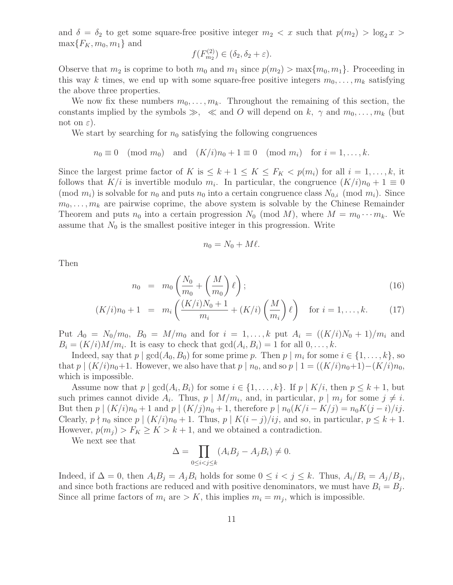and  $\delta = \delta_2$  to get some square-free positive integer  $m_2 < x$  such that  $p(m_2) > \log_2 x >$  $\max\{F_K, m_0, m_1\}$  and

$$
f(F_{m_2}^{(2)}) \in (\delta_2, \delta_2 + \varepsilon).
$$

Observe that  $m_2$  is coprime to both  $m_0$  and  $m_1$  since  $p(m_2) > \max\{m_0, m_1\}$ . Proceeding in this way k times, we end up with some square-free positive integers  $m_0, \ldots, m_k$  satisfying the above three properties.

We now fix these numbers  $m_0, \ldots, m_k$ . Throughout the remaining of this section, the constants implied by the symbols  $\gg$ ,  $\ll$  and O will depend on k,  $\gamma$  and  $m_0, \ldots, m_k$  (but not on  $\varepsilon$ ).

We start by searching for  $n_0$  satisfying the following congruences

$$
n_0 \equiv 0 \pmod{m_0}
$$
 and  $(K/i)n_0 + 1 \equiv 0 \pmod{m_i}$  for  $i = 1, ..., k$ .

Since the largest prime factor of K is  $\leq k+1 \leq K \leq F_K < p(m_i)$  for all  $i = 1, \ldots, k$ , it follows that  $K/i$  is invertible modulo  $m_i$ . In particular, the congruence  $(K/i)n_0 + 1 \equiv 0$ (mod  $m_i$ ) is solvable for  $n_0$  and puts  $n_0$  into a certain congruence class  $N_{0,i}$  (mod  $m_i$ ). Since  $m_0, \ldots, m_k$  are pairwise coprime, the above system is solvable by the Chinese Remainder Theorem and puts  $n_0$  into a certain progression  $N_0$  (mod M), where  $M = m_0 \cdots m_k$ . We assume that  $N_0$  is the smallest positive integer in this progression. Write

$$
n_0 = N_0 + M\ell.
$$

Then

$$
n_0 = m_0 \left( \frac{N_0}{m_0} + \left( \frac{M}{m_0} \right) \ell \right); \tag{16}
$$

$$
(K/i)n_0 + 1 = m_i \left( \frac{(K/i)N_0 + 1}{m_i} + (K/i) \left( \frac{M}{m_i} \right) \ell \right) \text{ for } i = 1, ..., k. \tag{17}
$$

Put  $A_0 = N_0/m_0$ ,  $B_0 = M/m_0$  and for  $i = 1, ..., k$  put  $A_i = ((K/i)N_0 + 1)/m_i$  and  $B_i = (K/i)M/m_i$ . It is easy to check that  $gcd(A_i, B_i) = 1$  for all  $0, \ldots, k$ .

Indeed, say that  $p \mid \gcd(A_0, B_0)$  for some prime p. Then  $p \mid m_i$  for some  $i \in \{1, \ldots, k\}$ , so that  $p \mid (K/i)n_0+1$ . However, we also have that  $p \mid n_0$ , and so  $p \mid 1 = ((K/i)n_0+1)-(K/i)n_0$ , which is impossible.

Assume now that  $p | gcd(A_i, B_i)$  for some  $i \in \{1, ..., k\}$ . If  $p | K/i$ , then  $p \leq k+1$ , but such primes cannot divide  $A_i$ . Thus,  $p \mid M/m_i$ , and, in particular,  $p \mid m_j$  for some  $j \neq i$ . But then  $p | (K/i)n_0 + 1$  and  $p | (K/j)n_0 + 1$ , therefore  $p | n_0(K/i - K/j) = n_0K(j - i)/ij$ . Clearly,  $p \nmid n_0$  since  $p \mid (K/i)n_0 + 1$ . Thus,  $p \mid K(i - j)/ij$ , and so, in particular,  $p \leq k + 1$ . However,  $p(m_i) > F_K \ge K > k+1$ , and we obtained a contradiction.

We next see that

$$
\Delta = \prod_{0 \le i < j \le k} (A_i B_j - A_j B_i) \neq 0.
$$

Indeed, if  $\Delta = 0$ , then  $A_i B_j = A_j B_i$  holds for some  $0 \le i < j \le k$ . Thus,  $A_i/B_i = A_j/B_j$ , and since both fractions are reduced and with positive denominators, we must have  $B_i = B_j$ . Since all prime factors of  $m_i$  are  $> K$ , this implies  $m_i = m_j$ , which is impossible.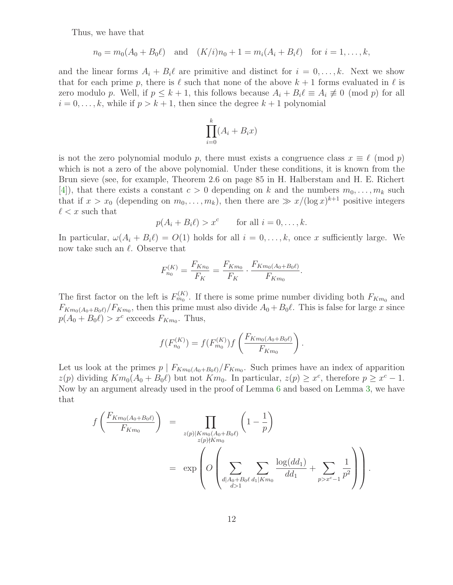Thus, we have that

$$
n_0 = m_0(A_0 + B_0\ell)
$$
 and  $(K/i)n_0 + 1 = m_i(A_i + B_i\ell)$  for  $i = 1, ..., k$ ,

and the linear forms  $A_i + B_i \ell$  are primitive and distinct for  $i = 0, \ldots, k$ . Next we show that for each prime p, there is  $\ell$  such that none of the above  $k + 1$  forms evaluated in  $\ell$  is zero modulo p. Well, if  $p \leq k+1$ , this follows because  $A_i + B_i \ell \equiv A_i \not\equiv 0 \pmod{p}$  for all  $i = 0, \ldots, k$ , while if  $p > k + 1$ , then since the degree  $k + 1$  polynomial

$$
\prod_{i=0}^{k} (A_i + B_i x)
$$

is not the zero polynomial modulo p, there must exists a congruence class  $x \equiv \ell \pmod{p}$ which is not a zero of the above polynomial. Under these conditions, it is known from the Brun sieve (see, for example, Theorem 2.6 on page 85 in H. Halberstam and H. E. Richert [\[4\]](#page-13-12)), that there exists a constant  $c > 0$  depending on k and the numbers  $m_0, \ldots, m_k$  such that if  $x > x_0$  (depending on  $m_0, \ldots, m_k$ ), then there are  $\gg x/(\log x)^{k+1}$  positive integers  $\ell < x$  such that

$$
p(A_i + B_i \ell) > x^c \quad \text{for all } i = 0, \dots, k.
$$

In particular,  $\omega(A_i + B_i \ell) = O(1)$  holds for all  $i = 0, \ldots, k$ , once x sufficiently large. We now take such an  $\ell$ . Observe that

$$
F_{n_0}^{(K)} = \frac{F_{Kn_0}}{F_K} = \frac{F_{Km_0}}{F_K} \cdot \frac{F_{Km_0(A_0 + B_0\ell)}}{F_{Km_0}}.
$$

The first factor on the left is  $F_{m_0}^{(K)}$ . If there is some prime number dividing both  $F_{K_{m_0}}$  and  $F_{Km_0(A_0+B_0\ell)}/F_{Km_0}$ , then this prime must also divide  $A_0+B_0\ell$ . This is false for large x since  $p(A_0 + B_0 \ell) > x^c$  exceeds  $F_{Km_0}$ . Thus,

$$
f(F_{n_0}^{(K)}) = f(F_{m_0}^{(K)}) f\left(\frac{F_{Km_0(A_0+B_0\ell)}}{F_{Km_0}}\right).
$$

Let us look at the primes  $p \mid F_{Km_0(A_0+B_0\ell)}/F_{Km_0}$ . Such primes have an index of apparition  $z(p)$  dividing  $Km_0(A_0 + B_0\ell)$  but not  $Km_0$ . In particular,  $z(p) \geq x^c$ , therefore  $p \geq x^c - 1$ . Now by an argument already used in the proof of Lemma [6](#page-7-0) and based on Lemma [3,](#page-3-2) we have that

$$
f\left(\frac{F_{Km_0(A_0+B_0\ell)}}{F_{Km_0}}\right) = \prod_{\substack{z(p)|Km_0(A_0+B_0\ell) \\ z(p)\nmid Km_0}} \left(1-\frac{1}{p}\right)
$$
  

$$
= \exp\left(O\left(\sum_{\substack{d|A_0+B_0\ell d_1|Km_0 \\ d>1}} \sum_{\substack{d|d_1\\d>1}} \frac{\log(dd_1)}{dd_1} + \sum_{p>x^c-1} \frac{1}{p^2}\right)\right).
$$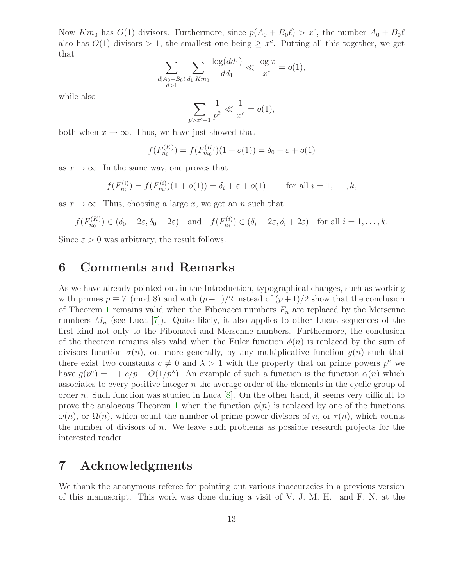Now  $Km_0$  has  $O(1)$  divisors. Furthermore, since  $p(A_0 + B_0 \ell) > x^c$ , the number  $A_0 + B_0 \ell$ also has  $O(1)$  divisors > 1, the smallest one being  $\geq x^c$ . Putting all this together, we get that

$$
\sum_{\substack{d \mid A_0 + B_0 \ell}} \sum_{\substack{d_1 \mid Km_0}} \frac{\log(dd_1)}{dd_1} \ll \frac{\log x}{x^c} = o(1),
$$

while also

$$
\sum_{p > x^c - 1} \frac{1}{p^2} \ll \frac{1}{x^c} = o(1),
$$

both when  $x \to \infty$ . Thus, we have just showed that

$$
f(F_{n_0}^{(K)}) = f(F_{m_0}^{(K)})(1 + o(1)) = \delta_0 + \varepsilon + o(1)
$$

as  $x \to \infty$ . In the same way, one proves that

$$
f(F_{n_i}^{(i)}) = f(F_{m_i}^{(i)})(1 + o(1)) = \delta_i + \varepsilon + o(1) \quad \text{for all } i = 1, ..., k,
$$

as  $x \to \infty$ . Thus, choosing a large x, we get an n such that

$$
f(F_{n_0}^{(K)}) \in (\delta_0 - 2\varepsilon, \delta_0 + 2\varepsilon)
$$
 and  $f(F_{n_i}^{(i)}) \in (\delta_i - 2\varepsilon, \delta_i + 2\varepsilon)$  for all  $i = 1, ..., k$ .

Since  $\varepsilon > 0$  was arbitrary, the result follows.

## 6 Comments and Remarks

As we have already pointed out in the Introduction, typographical changes, such as working with primes  $p \equiv 7 \pmod{8}$  and with  $(p-1)/2$  instead of  $(p+1)/2$  show that the conclusion of Theorem [1](#page-1-0) remains valid when the Fibonacci numbers  $F_n$  are replaced by the Mersenne numbers  $M_n$  (see Luca [\[7\]](#page-13-4)). Quite likely, it also applies to other Lucas sequences of the first kind not only to the Fibonacci and Mersenne numbers. Furthermore, the conclusion of the theorem remains also valid when the Euler function  $\phi(n)$  is replaced by the sum of divisors function  $\sigma(n)$ , or, more generally, by any multiplicative function  $g(n)$  such that there exist two constants  $c \neq 0$  and  $\lambda > 1$  with the property that on prime powers  $p^a$  we have  $g(p^a) = 1 + c/p + O(1/p^{\lambda})$ . An example of such a function is the function  $\alpha(n)$  which associates to every positive integer  $n$  the average order of the elements in the cyclic group of order n. Such function was studied in Luca  $[8]$ . On the other hand, it seems very difficult to prove the analogous Theorem [1](#page-1-0) when the function  $\phi(n)$  is replaced by one of the functions  $\omega(n)$ , or  $\Omega(n)$ , which count the number of prime power divisors of n, or  $\tau(n)$ , which counts the number of divisors of  $n$ . We leave such problems as possible research projects for the interested reader.

## 7 Acknowledgments

We thank the anonymous referee for pointing out various inaccuracies in a previous version of this manuscript. This work was done during a visit of V. J. M. H. and F. N. at the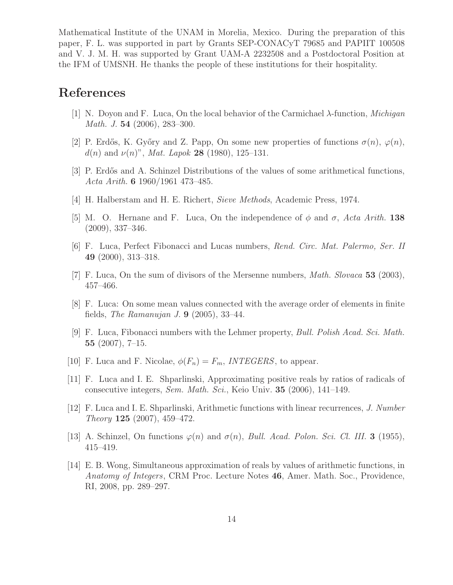Mathematical Institute of the UNAM in Morelia, Mexico. During the preparation of this paper, F. L. was supported in part by Grants SEP-CONACyT 79685 and PAPIIT 100508 and V. J. M. H. was supported by Grant UAM-A 2232508 and a Postdoctoral Position at the IFM of UMSNH. He thanks the people of these institutions for their hospitality.

## <span id="page-13-10"></span><span id="page-13-9"></span>References

- [1] N. Doyon and F. Luca, On the local behavior of the Carmichael λ-function, Michigan Math. J. 54 (2006), 283–300.
- <span id="page-13-6"></span>[2] P. Erdős, K. Győry and Z. Papp, On some new properties of functions  $\sigma(n)$ ,  $\varphi(n)$ ,  $d(n)$  and  $\nu(n)$ ", Mat. Lapok 28 (1980), 125–131.
- <span id="page-13-12"></span>[3] P. Erdős and A. Schinzel Distributions of the values of some arithmetical functions, Acta Arith. 6 1960/1961 473–485.
- <span id="page-13-11"></span>[4] H. Halberstam and H. E. Richert, Sieve Methods, Academic Press, 1974.
- <span id="page-13-0"></span>[5] M. O. Hernane and F. Luca, On the independence of  $\phi$  and  $\sigma$ , Acta Arith. 138 (2009), 337–346.
- <span id="page-13-4"></span>[6] F. Luca, Perfect Fibonacci and Lucas numbers, Rend. Circ. Mat. Palermo, Ser. II 49 (2000), 313–318.
- <span id="page-13-13"></span>[7] F. Luca, On the sum of divisors of the Mersenne numbers, Math. Slovaca 53 (2003), 457–466.
- [8] F. Luca: On some mean values connected with the average order of elements in finite fields, *The Ramanujan J.* **9** (2005), 33–44.
- <span id="page-13-2"></span>[9] F. Luca, Fibonacci numbers with the Lehmer property, Bull. Polish Acad. Sci. Math. 55 (2007), 7–15.
- <span id="page-13-8"></span><span id="page-13-1"></span>[10] F. Luca and F. Nicolae,  $\phi(F_n) = F_m$ , INTEGERS, to appear.
- [11] F. Luca and I. E. Shparlinski, Approximating positive reals by ratios of radicals of consecutive integers, Sem. Math. Sci., Keio Univ. 35 (2006), 141–149.
- <span id="page-13-3"></span>[12] F. Luca and I. E. Shparlinski, Arithmetic functions with linear recurrences, J. Number Theory **125** (2007), 459–472.
- <span id="page-13-7"></span><span id="page-13-5"></span>[13] A. Schinzel, On functions  $\varphi(n)$  and  $\sigma(n)$ , *Bull. Acad. Polon. Sci. Cl. III.* **3** (1955), 415–419.
- [14] E. B. Wong, Simultaneous approximation of reals by values of arithmetic functions, in Anatomy of Integers, CRM Proc. Lecture Notes 46, Amer. Math. Soc., Providence, RI, 2008, pp. 289–297.